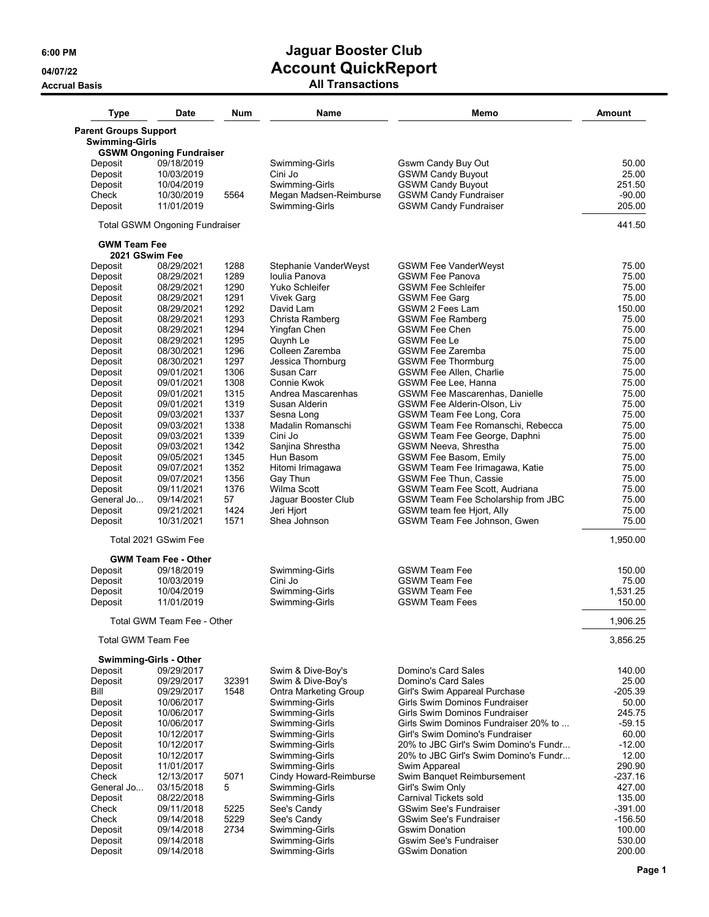# **6:00 PM Jaguar Booster Club 04/07/22 Account QuickReport**

## **Accrual Basis All Transactions**

| <b>Type</b>                  | <b>Date</b>                           | <b>Num</b> | Name                         | Memo                                  | Amount    |
|------------------------------|---------------------------------------|------------|------------------------------|---------------------------------------|-----------|
| <b>Parent Groups Support</b> |                                       |            |                              |                                       |           |
| <b>Swimming-Girls</b>        |                                       |            |                              |                                       |           |
| Deposit                      | <b>GSWM Ongoning Fundraiser</b>       |            | Swimming-Girls               |                                       |           |
|                              | 09/18/2019                            |            |                              | Gswm Candy Buy Out                    | 50.00     |
| Deposit                      | 10/03/2019                            |            | Cini Jo                      | <b>GSWM Candy Buyout</b>              | 25.00     |
| Deposit                      | 10/04/2019                            |            | Swimming-Girls               | <b>GSWM Candy Buyout</b>              | 251.50    |
| Check                        | 10/30/2019                            | 5564       | Megan Madsen-Reimburse       | <b>GSWM Candy Fundraiser</b>          | $-90.00$  |
| Deposit                      | 11/01/2019                            |            | Swimming-Girls               | <b>GSWM Candy Fundraiser</b>          | 205.00    |
|                              | <b>Total GSWM Ongoning Fundraiser</b> |            |                              |                                       | 441.50    |
| <b>GWM Team Fee</b>          |                                       |            |                              |                                       |           |
| 2021 GSwim Fee<br>Deposit    | 08/29/2021                            | 1288       | Stephanie VanderWeyst        | <b>GSWM Fee VanderWeyst</b>           | 75.00     |
|                              |                                       | 1289       |                              |                                       | 75.00     |
| Deposit                      | 08/29/2021                            |            | Ioulia Panova                | <b>GSWM Fee Panova</b>                |           |
| Deposit                      | 08/29/2021                            | 1290       | Yuko Schleifer               | <b>GSWM Fee Schleifer</b>             | 75.00     |
| Deposit                      | 08/29/2021                            | 1291       | <b>Vivek Garg</b>            | <b>GSWM Fee Garg</b>                  | 75.00     |
| Deposit                      | 08/29/2021                            | 1292       | David Lam                    | GSWM 2 Fees Lam                       | 150.00    |
| Deposit                      | 08/29/2021                            | 1293       | Christa Ramberg              | <b>GSWM Fee Ramberg</b>               | 75.00     |
| Deposit                      | 08/29/2021                            | 1294       | Yingfan Chen                 | <b>GSWM Fee Chen</b>                  | 75.00     |
| Deposit                      | 08/29/2021                            | 1295       | Quynh Le                     | <b>GSWM Fee Le</b>                    | 75.00     |
| Deposit                      | 08/30/2021                            | 1296       | Colleen Zaremba              | <b>GSWM Fee Zaremba</b>               | 75.00     |
| Deposit                      | 08/30/2021                            | 1297       | Jessica Thornburg            | <b>GSWM Fee Thormburg</b>             | 75.00     |
| Deposit                      | 09/01/2021                            | 1306       | Susan Carr                   | <b>GSWM Fee Allen, Charlie</b>        | 75.00     |
|                              | 09/01/2021                            | 1308       | Connie Kwok                  | GSWM Fee Lee, Hanna                   | 75.00     |
| Deposit                      |                                       |            |                              |                                       |           |
| Deposit                      | 09/01/2021                            | 1315       | Andrea Mascarenhas           | GSWM Fee Mascarenhas, Danielle        | 75.00     |
| Deposit                      | 09/01/2021                            | 1319       | Susan Alderin                | <b>GSWM Fee Alderin-Olson, Liv</b>    | 75.00     |
| Deposit                      | 09/03/2021                            | 1337       | Sesna Long                   | GSWM Team Fee Long, Cora              | 75.00     |
| Deposit                      | 09/03/2021                            | 1338       | Madalin Romanschi            | GSWM Team Fee Romanschi, Rebecca      | 75.00     |
| Deposit                      | 09/03/2021                            | 1339       | Cini Jo                      | GSWM Team Fee George, Daphni          | 75.00     |
| Deposit                      | 09/03/2021                            | 1342       | Sanjina Shrestha             | GSWM Neeva, Shrestha                  | 75.00     |
| Deposit                      | 09/05/2021                            | 1345       | Hun Basom                    | <b>GSWM Fee Basom, Emily</b>          | 75.00     |
| Deposit                      | 09/07/2021                            | 1352       | Hitomi Irimagawa             | GSWM Team Fee Irimagawa, Katie        | 75.00     |
| Deposit                      | 09/07/2021                            | 1356       | Gay Thun                     | <b>GSWM Fee Thun, Cassie</b>          | 75.00     |
| Deposit                      | 09/11/2021                            | 1376       | Wilma Scott                  | GSWM Team Fee Scott, Audriana         | 75.00     |
|                              |                                       |            |                              |                                       |           |
| General Jo                   | 09/14/2021                            | 57         | Jaguar Booster Club          | GSWM Team Fee Scholarship from JBC    | 75.00     |
| Deposit                      | 09/21/2021                            | 1424       | Jeri Hjort                   | GSWM team fee Hjort, Ally             | 75.00     |
| Deposit                      | 10/31/2021                            | 1571       | Shea Johnson                 | GSWM Team Fee Johnson, Gwen           | 75.00     |
|                              | Total 2021 GSwim Fee                  |            |                              |                                       | 1,950.00  |
|                              | <b>GWM Team Fee - Other</b>           |            |                              |                                       |           |
| Deposit                      | 09/18/2019                            |            | Swimming-Girls               | <b>GSWM Team Fee</b>                  | 150.00    |
| Deposit                      | 10/03/2019                            |            | Cini Jo                      | <b>GSWM Team Fee</b>                  | 75.00     |
| Deposit                      | 10/04/2019                            |            | Swimming-Girls               | <b>GSWM Team Fee</b>                  | 1,531.25  |
| Deposit                      | 11/01/2019                            |            | Swimming-Girls               | <b>GSWM Team Fees</b>                 | 150.00    |
|                              | Total GWM Team Fee - Other            |            |                              |                                       | 1,906.25  |
| Total GWM Team Fee           |                                       |            |                              |                                       | 3,856.25  |
| Swimming-Girls - Other       |                                       |            |                              |                                       |           |
| Deposit                      | 09/29/2017                            |            | Swim & Dive-Boy's            | Domino's Card Sales                   | 140.00    |
| Deposit                      | 09/29/2017                            | 32391      | Swim & Dive-Boy's            | Domino's Card Sales                   | 25.00     |
| Bill                         |                                       | 1548       | <b>Ontra Marketing Group</b> | Girl's Swim Appareal Purchase         | $-205.39$ |
|                              | 09/29/2017                            |            |                              |                                       |           |
| Deposit                      | 10/06/2017                            |            | Swimming-Girls               | Girls Swim Dominos Fundraiser         | 50.00     |
| Deposit                      | 10/06/2017                            |            | Swimming-Girls               | Girls Swim Dominos Fundraiser         | 245.75    |
| Deposit                      | 10/06/2017                            |            | Swimming-Girls               | Girls Swim Dominos Fundraiser 20% to  | $-59.15$  |
| Deposit                      | 10/12/2017                            |            | Swimming-Girls               | Girl's Swim Domino's Fundraiser       | 60.00     |
| Deposit                      | 10/12/2017                            |            | Swimming-Girls               | 20% to JBC Girl's Swim Domino's Fundr | $-12.00$  |
| Deposit                      | 10/12/2017                            |            | Swimming-Girls               | 20% to JBC Girl's Swim Domino's Fundr | 12.00     |
| Deposit                      | 11/01/2017                            |            | Swimming-Girls               | Swim Appareal                         | 290.90    |
| Check                        | 12/13/2017                            | 5071       | Cindy Howard-Reimburse       | Swim Banquet Reimbursement            | $-237.16$ |
| General Jo                   | 03/15/2018                            | 5          | Swimming-Girls               | Girl's Swim Only                      | 427.00    |
|                              |                                       |            |                              |                                       |           |
| Deposit                      | 08/22/2018                            |            | Swimming-Girls               | Carnival Tickets sold                 | 135.00    |
| Check                        | 09/11/2018                            | 5225       | See's Candy                  | <b>GSwim See's Fundraiser</b>         | $-391.00$ |
| Check                        | 09/14/2018                            | 5229       | See's Candy                  | <b>GSwim See's Fundraiser</b>         | $-156.50$ |
| Deposit                      | 09/14/2018                            | 2734       | Swimming-Girls               | <b>Gswim Donation</b>                 | 100.00    |
| Deposit                      | 09/14/2018                            |            | Swimming-Girls               | <b>Gswim See's Fundraiser</b>         | 530.00    |
| Deposit                      | 09/14/2018                            |            | Swimming-Girls               | <b>GSwim Donation</b>                 | 200.00    |